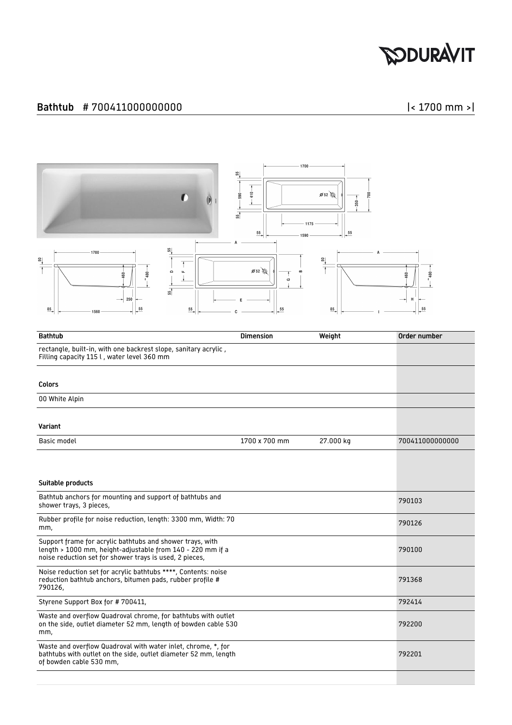## **SODURAVIT**

## Bathtub # 700411000000000 |< 1700 mm >|



| <b>Bathtub</b>                                                                                                                                                                     | <b>Dimension</b> | Weight    | Order number    |
|------------------------------------------------------------------------------------------------------------------------------------------------------------------------------------|------------------|-----------|-----------------|
| rectangle, built-in, with one backrest slope, sanitary acrylic,<br>Filling capacity 115 l, water level 360 mm                                                                      |                  |           |                 |
| Colors                                                                                                                                                                             |                  |           |                 |
| 00 White Alpin                                                                                                                                                                     |                  |           |                 |
| Variant                                                                                                                                                                            |                  |           |                 |
| Basic model                                                                                                                                                                        | 1700 x 700 mm    | 27.000 kg | 700411000000000 |
| Suitable products                                                                                                                                                                  |                  |           |                 |
| Bathtub anchors for mounting and support of bathtubs and<br>shower trays, 3 pieces,                                                                                                |                  |           | 790103          |
| Rubber profile for noise reduction, length: 3300 mm, Width: 70<br>mm,                                                                                                              |                  |           | 790126          |
| Support frame for acrylic bathtubs and shower trays, with<br>length > 1000 mm, height-adjustable from 140 - 220 mm if a<br>noise reduction set for shower trays is used, 2 pieces, |                  |           | 790100          |
| Noise reduction set for acrylic bathtubs ****, Contents: noise<br>reduction bathtub anchors, bitumen pads, rubber profile #<br>790126,                                             |                  |           | 791368          |
| Styrene Support Box for #700411,                                                                                                                                                   |                  |           | 792414          |
| Waste and overflow Quadroval chrome, for bathtubs with outlet<br>on the side, outlet diameter 52 mm, length of bowden cable 530<br>mm,                                             |                  |           | 792200          |
| Waste and overflow Quadroval with water inlet, chrome, *, for<br>bathtubs with outlet on the side, outlet diameter 52 mm, length<br>of bowden cable 530 mm,                        |                  |           | 792201          |
|                                                                                                                                                                                    |                  |           |                 |